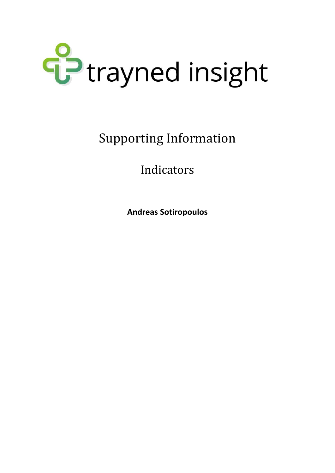

Supporting Information

Indicators

**Andreas Sotiropoulos**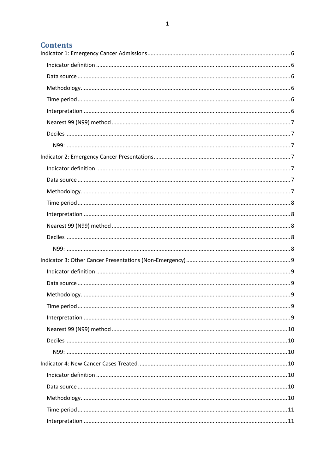# **Contents**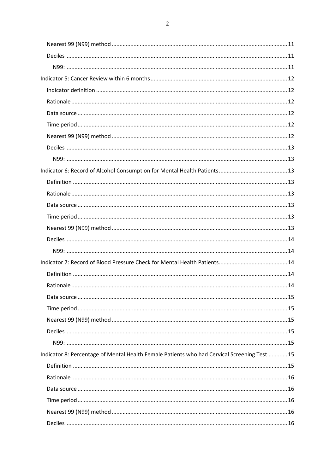| Indicator 8: Percentage of Mental Health Female Patients who had Cervical Screening Test  15 |  |
|----------------------------------------------------------------------------------------------|--|
|                                                                                              |  |
|                                                                                              |  |
|                                                                                              |  |
|                                                                                              |  |
|                                                                                              |  |
|                                                                                              |  |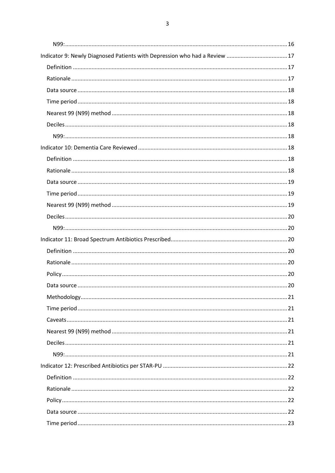| Indicator 9: Newly Diagnosed Patients with Depression who had a Review  17 |  |
|----------------------------------------------------------------------------|--|
|                                                                            |  |
|                                                                            |  |
|                                                                            |  |
|                                                                            |  |
|                                                                            |  |
|                                                                            |  |
|                                                                            |  |
|                                                                            |  |
|                                                                            |  |
|                                                                            |  |
|                                                                            |  |
|                                                                            |  |
|                                                                            |  |
|                                                                            |  |
|                                                                            |  |
|                                                                            |  |
|                                                                            |  |
|                                                                            |  |
|                                                                            |  |
|                                                                            |  |
|                                                                            |  |
|                                                                            |  |
|                                                                            |  |
|                                                                            |  |
|                                                                            |  |
|                                                                            |  |
|                                                                            |  |
|                                                                            |  |
|                                                                            |  |
|                                                                            |  |
|                                                                            |  |
|                                                                            |  |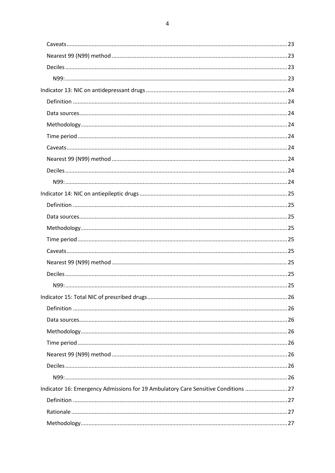| Indicator 16: Emergency Admissions for 19 Ambulatory Care Sensitive Conditions  27 |  |
|------------------------------------------------------------------------------------|--|
|                                                                                    |  |
|                                                                                    |  |
|                                                                                    |  |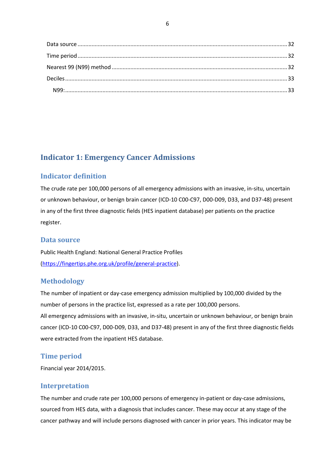# <span id="page-6-0"></span>**Indicator 1: Emergency Cancer Admissions**

# <span id="page-6-1"></span>**Indicator definition**

The crude rate per 100,000 persons of all emergency admissions with an invasive, in-situ, uncertain or unknown behaviour, or benign brain cancer (ICD-10 C00-C97, D00-D09, D33, and D37-48) present in any of the first three diagnostic fields (HES inpatient database) per patients on the practice register.

# <span id="page-6-2"></span>**Data source**

Public Health England: National General Practice Profiles [\(https://fingertips.phe.org.uk/profile/general-practice\)](https://fingertips.phe.org.uk/profile/general-practice).

# <span id="page-6-3"></span>**Methodology**

The number of inpatient or day-case emergency admission multiplied by 100,000 divided by the number of persons in the practice list, expressed as a rate per 100,000 persons. All emergency admissions with an invasive, in-situ, uncertain or unknown behaviour, or benign brain cancer (ICD-10 C00-C97, D00-D09, D33, and D37-48) present in any of the first three diagnostic fields were extracted from the inpatient HES database.

# <span id="page-6-4"></span>**Time period**

Financial year 2014/2015.

### <span id="page-6-5"></span>**Interpretation**

The number and crude rate per 100,000 persons of emergency in-patient or day-case admissions, sourced from HES data, with a diagnosis that includes cancer. These may occur at any stage of the cancer pathway and will include persons diagnosed with cancer in prior years. This indicator may be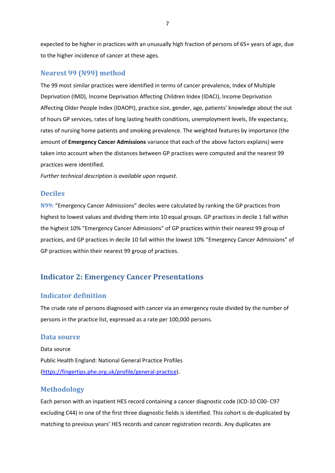expected to be higher in practices with an unusually high fraction of persons of 65+ years of age, due to the higher incidence of cancer at these ages.

### <span id="page-7-0"></span>**Nearest 99 (N99) method**

The 99 most similar practices were identified in terms of cancer prevalence, Index of Multiple Deprivation (IMD), Income Deprivation Affecting Children Index (IDACI), Income Deprivation Affecting Older People Index (IDAOPI), practice size, gender, age, patients' knowledge about the out of hours GP services, rates of long lasting health conditions, unemployment levels, life expectancy, rates of nursing home patients and smoking prevalence. The weighted features by importance (the amount of **Emergency Cancer Admissions** variance that each of the above factors explains) were taken into account when the distances between GP practices were computed and the nearest 99 practices were identified.

*Further technical description is available upon request.*

### <span id="page-7-1"></span>**Deciles**

<span id="page-7-2"></span>**N99:** "Emergency Cancer Admissions" deciles were calculated by ranking the GP practices from highest to lowest values and dividing them into 10 equal groups. GP practices in decile 1 fall within the highest 10% "Emergency Cancer Admissions" of GP practices within their nearest 99 group of practices, and GP practices in decile 10 fall within the lowest 10% "Emergency Cancer Admissions" of GP practices within their nearest 99 group of practices.

# <span id="page-7-3"></span>**Indicator 2: Emergency Cancer Presentations**

### <span id="page-7-4"></span>**Indicator definition**

The crude rate of persons diagnosed with cancer via an emergency route divided by the number of persons in the practice list, expressed as a rate per 100,000 persons.

### <span id="page-7-5"></span>**Data source**

Data source Public Health England: National General Practice Profiles [\(https://fingertips.phe.org.uk/profile/general-practice\)](https://fingertips.phe.org.uk/profile/general-practice).

### <span id="page-7-6"></span>**Methodology**

Each person with an inpatient HES record containing a cancer diagnostic code (ICD-10 C00- C97 excluding C44) in one of the first three diagnostic fields is identified. This cohort is de-duplicated by matching to previous years' HES records and cancer registration records. Any duplicates are

7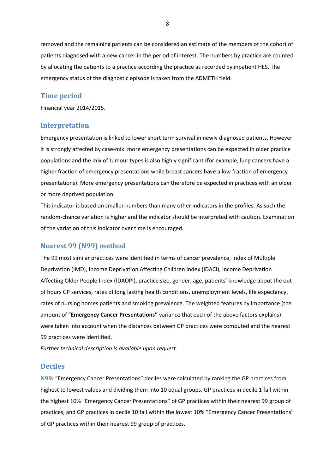removed and the remaining patients can be considered an estimate of the members of the cohort of patients diagnosed with a new cancer in the period of interest. The numbers by practice are counted by allocating the patients to a practice according the practice as recorded by inpatient HES. The emergency status of the diagnostic episode is taken from the ADMETH field.

### <span id="page-8-0"></span>**Time period**

Financial year 2014/2015.

#### <span id="page-8-1"></span>**Interpretation**

Emergency presentation is linked to lower short term survival in newly diagnosed patients. However it is strongly affected by case-mix: more emergency presentations can be expected in older practice populations and the mix of tumour types is also highly significant (for example, lung cancers have a higher fraction of emergency presentations while breast cancers have a low fraction of emergency presentations). More emergency presentations can therefore be expected in practices with an older or more deprived population.

This indicator is based on smaller numbers than many other indicators in the profiles. As such the random-chance variation is higher and the indicator should be interpreted with caution. Examination of the variation of this indicator over time is encouraged.

### <span id="page-8-2"></span>**Nearest 99 (N99) method**

The 99 most similar practices were identified in terms of cancer prevalence, Index of Multiple Deprivation (IMD), Income Deprivation Affecting Children Index (IDACI), Income Deprivation Affecting Older People Index (IDAOPI), practice size, gender, age, patients' knowledge about the out of hours GP services, rates of long lasting health conditions, unemployment levels, life expectancy, rates of nursing homes patients and smoking prevalence. The weighted features by importance (the amount of "**Emergency Cancer Presentations"** variance that each of the above factors explains) were taken into account when the distances between GP practices were computed and the nearest 99 practices were identified.

*Further technical description is available upon request.*

### <span id="page-8-3"></span>**Deciles**

<span id="page-8-4"></span>**N99:** "Emergency Cancer Presentations" deciles were calculated by ranking the GP practices from highest to lowest values and dividing them into 10 equal groups. GP practices in decile 1 fall within the highest 10% "Emergency Cancer Presentations" of GP practices within their nearest 99 group of practices, and GP practices in decile 10 fall within the lowest 10% "Emergency Cancer Presentations" of GP practices within their nearest 99 group of practices.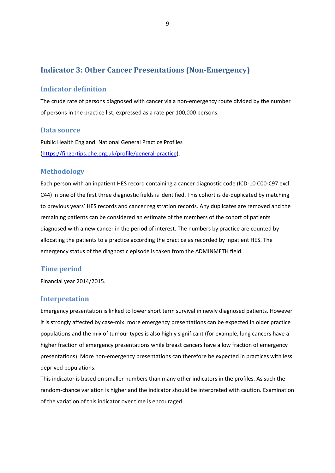# <span id="page-9-0"></span>**Indicator 3: Other Cancer Presentations (Non-Emergency)**

### <span id="page-9-1"></span>**Indicator definition**

The crude rate of persons diagnosed with cancer via a non-emergency route divided by the number of persons in the practice list, expressed as a rate per 100,000 persons.

### <span id="page-9-2"></span>**Data source**

Public Health England: National General Practice Profiles [\(https://fingertips.phe.org.uk/profile/general-practice\)](https://fingertips.phe.org.uk/profile/general-practice).

## <span id="page-9-3"></span>**Methodology**

Each person with an inpatient HES record containing a cancer diagnostic code (ICD-10 C00-C97 excl. C44) in one of the first three diagnostic fields is identified. This cohort is de-duplicated by matching to previous years' HES records and cancer registration records. Any duplicates are removed and the remaining patients can be considered an estimate of the members of the cohort of patients diagnosed with a new cancer in the period of interest. The numbers by practice are counted by allocating the patients to a practice according the practice as recorded by inpatient HES. The emergency status of the diagnostic episode is taken from the ADMINMETH field.

### <span id="page-9-4"></span>**Time period**

Financial year 2014/2015.

### <span id="page-9-5"></span>**Interpretation**

Emergency presentation is linked to lower short term survival in newly diagnosed patients. However it is strongly affected by case-mix: more emergency presentations can be expected in older practice populations and the mix of tumour types is also highly significant (for example, lung cancers have a higher fraction of emergency presentations while breast cancers have a low fraction of emergency presentations). More non-emergency presentations can therefore be expected in practices with less deprived populations.

This indicator is based on smaller numbers than many other indicators in the profiles. As such the random-chance variation is higher and the indicator should be interpreted with caution. Examination of the variation of this indicator over time is encouraged.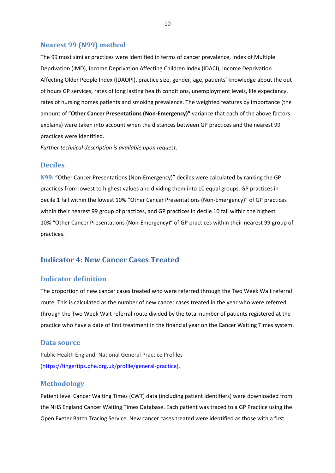### <span id="page-10-0"></span>**Nearest 99 (N99) method**

The 99 most similar practices were identified in terms of cancer prevalence, Index of Multiple Deprivation (IMD), Income Deprivation Affecting Children Index (IDACI), Income Deprivation Affecting Older People Index (IDAOPI), practice size, gender, age, patients' knowledge about the out of hours GP services, rates of long lasting health conditions, unemployment levels, life expectancy, rates of nursing homes patients and smoking prevalence. The weighted features by importance (the amount of "**Other Cancer Presentations (Non-Emergency)"** variance that each of the above factors explains) were taken into account when the distances between GP practices and the nearest 99 practices were identified.

*Further technical description is available upon request.*

### <span id="page-10-1"></span>**Deciles**

<span id="page-10-2"></span>**N99:** "Other Cancer Presentations (Non-Emergency)" deciles were calculated by ranking the GP practices from lowest to highest values and dividing them into 10 equal groups. GP practices in decile 1 fall within the lowest 10% "Other Cancer Presentations (Non-Emergency)" of GP practices within their nearest 99 group of practices, and GP practices in decile 10 fall within the highest 10% "Other Cancer Presentations (Non-Emergency)" of GP practices within their nearest 99 group of practices.

# <span id="page-10-3"></span>**Indicator 4: New Cancer Cases Treated**

### <span id="page-10-4"></span>**Indicator definition**

The proportion of new cancer cases treated who were referred through the Two Week Wait referral route. This is calculated as the number of new cancer cases treated in the year who were referred through the Two Week Wait referral route divided by the total number of patients registered at the practice who have a date of first treatment in the financial year on the Cancer Waiting Times system.

### <span id="page-10-5"></span>**Data source**

Public Health England: National General Practice Profiles [\(https://fingertips.phe.org.uk/profile/general-practice\)](https://fingertips.phe.org.uk/profile/general-practice).

### <span id="page-10-6"></span>**Methodology**

Patient level Cancer Waiting Times (CWT) data (including patient identifiers) were downloaded from the NHS England Cancer Waiting Times Database. Each patient was traced to a GP Practice using the Open Exeter Batch Tracing Service. New cancer cases treated were identified as those with a first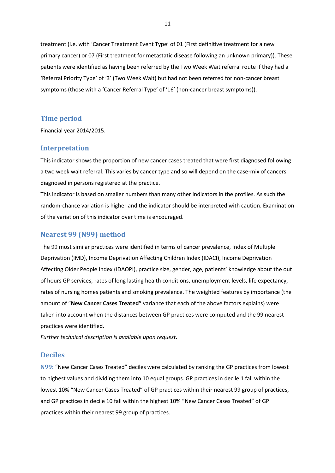treatment (i.e. with 'Cancer Treatment Event Type' of 01 (First definitive treatment for a new primary cancer) or 07 (First treatment for metastatic disease following an unknown primary)). These patients were identified as having been referred by the Two Week Wait referral route if they had a 'Referral Priority Type' of '3' (Two Week Wait) but had not been referred for non-cancer breast symptoms (those with a 'Cancer Referral Type' of '16' (non-cancer breast symptoms)).

#### <span id="page-11-0"></span>**Time period**

Financial year 2014/2015.

### <span id="page-11-1"></span>**Interpretation**

This indicator shows the proportion of new cancer cases treated that were first diagnosed following a two week wait referral. This varies by cancer type and so will depend on the case-mix of cancers diagnosed in persons registered at the practice.

This indicator is based on smaller numbers than many other indicators in the profiles. As such the random-chance variation is higher and the indicator should be interpreted with caution. Examination of the variation of this indicator over time is encouraged.

### <span id="page-11-2"></span>**Nearest 99 (N99) method**

The 99 most similar practices were identified in terms of cancer prevalence, Index of Multiple Deprivation (IMD), Income Deprivation Affecting Children Index (IDACI), Income Deprivation Affecting Older People Index (IDAOPI), practice size, gender, age, patients' knowledge about the out of hours GP services, rates of long lasting health conditions, unemployment levels, life expectancy, rates of nursing homes patients and smoking prevalence. The weighted features by importance (the amount of "**New Cancer Cases Treated"** variance that each of the above factors explains) were taken into account when the distances between GP practices were computed and the 99 nearest practices were identified.

*Further technical description is available upon request.*

### <span id="page-11-3"></span>**Deciles**

<span id="page-11-4"></span>**N99:** "New Cancer Cases Treated" deciles were calculated by ranking the GP practices from lowest to highest values and dividing them into 10 equal groups. GP practices in decile 1 fall within the lowest 10% "New Cancer Cases Treated" of GP practices within their nearest 99 group of practices, and GP practices in decile 10 fall within the highest 10% "New Cancer Cases Treated" of GP practices within their nearest 99 group of practices.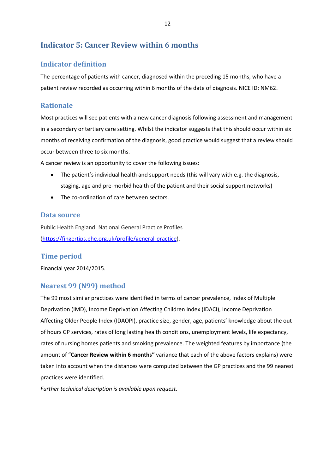# <span id="page-12-0"></span>**Indicator 5: Cancer Review within 6 months**

# <span id="page-12-1"></span>**Indicator definition**

The percentage of patients with cancer, diagnosed within the preceding 15 months, who have a patient review recorded as occurring within 6 months of the date of diagnosis. NICE ID: NM62.

# <span id="page-12-2"></span>**Rationale**

Most practices will see patients with a new cancer diagnosis following assessment and management in a secondary or tertiary care setting. Whilst the indicator suggests that this should occur within six months of receiving confirmation of the diagnosis, good practice would suggest that a review should occur between three to six months.

A cancer review is an opportunity to cover the following issues:

- The patient's individual health and support needs (this will vary with e.g. the diagnosis, staging, age and pre-morbid health of the patient and their social support networks)
- The co-ordination of care between sectors.

## <span id="page-12-3"></span>**Data source**

Public Health England: National General Practice Profiles [\(https://fingertips.phe.org.uk/profile/general-practice\)](https://fingertips.phe.org.uk/profile/general-practice).

# <span id="page-12-4"></span>**Time period**

Financial year 2014/2015.

# <span id="page-12-5"></span>**Nearest 99 (N99) method**

The 99 most similar practices were identified in terms of cancer prevalence, Index of Multiple Deprivation (IMD), Income Deprivation Affecting Children Index (IDACI), Income Deprivation Affecting Older People Index (IDAOPI), practice size, gender, age, patients' knowledge about the out of hours GP services, rates of long lasting health conditions, unemployment levels, life expectancy, rates of nursing homes patients and smoking prevalence. The weighted features by importance (the amount of "**Cancer Review within 6 months"** variance that each of the above factors explains) were taken into account when the distances were computed between the GP practices and the 99 nearest practices were identified.

*Further technical description is available upon request.*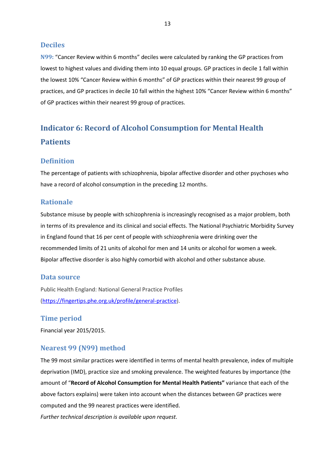### <span id="page-13-0"></span>**Deciles**

<span id="page-13-1"></span>**N99:** "Cancer Review within 6 months" deciles were calculated by ranking the GP practices from lowest to highest values and dividing them into 10 equal groups. GP practices in decile 1 fall within the lowest 10% "Cancer Review within 6 months" of GP practices within their nearest 99 group of practices, and GP practices in decile 10 fall within the highest 10% "Cancer Review within 6 months" of GP practices within their nearest 99 group of practices.

# <span id="page-13-2"></span>**Indicator 6: Record of Alcohol Consumption for Mental Health Patients**

### <span id="page-13-3"></span>**Definition**

The percentage of patients with schizophrenia, bipolar affective disorder and other psychoses who have a record of alcohol consumption in the preceding 12 months.

### <span id="page-13-4"></span>**Rationale**

Substance misuse by people with schizophrenia is increasingly recognised as a major problem, both in terms of its prevalence and its clinical and social effects. The National Psychiatric Morbidity Survey in England found that 16 per cent of people with schizophrenia were drinking over the recommended limits of 21 units of alcohol for men and 14 units or alcohol for women a week. Bipolar affective disorder is also highly comorbid with alcohol and other substance abuse.

#### <span id="page-13-5"></span>**Data source**

Public Health England: National General Practice Profiles [\(https://fingertips.phe.org.uk/profile/general-practice\)](https://fingertips.phe.org.uk/profile/general-practice).

### <span id="page-13-6"></span>**Time period**

Financial year 2015/2015.

### <span id="page-13-7"></span>**Nearest 99 (N99) method**

The 99 most similar practices were identified in terms of mental health prevalence, index of multiple deprivation (IMD), practice size and smoking prevalence. The weighted features by importance (the amount of "**Record of Alcohol Consumption for Mental Health Patients"** variance that each of the above factors explains) were taken into account when the distances between GP practices were computed and the 99 nearest practices were identified.

*Further technical description is available upon request.*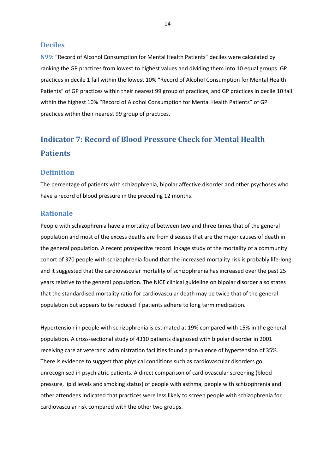### <span id="page-14-0"></span>**Deciles**

<span id="page-14-1"></span>**N99:** "Record of Alcohol Consumption for Mental Health Patients" deciles were calculated by ranking the GP practices from lowest to highest values and dividing them into 10 equal groups. GP practices in decile 1 fall within the lowest 10% "Record of Alcohol Consumption for Mental Health Patients" of GP practices within their nearest 99 group of practices, and GP practices in decile 10 fall within the highest 10% "Record of Alcohol Consumption for Mental Health Patients" of GP practices within their nearest 99 group of practices.

# <span id="page-14-2"></span>**Indicator 7: Record of Blood Pressure Check for Mental Health Patients**

### <span id="page-14-3"></span>**Definition**

The percentage of patients with schizophrenia, bipolar affective disorder and other psychoses who have a record of blood pressure in the preceding 12 months.

### <span id="page-14-4"></span>**Rationale**

People with schizophrenia have a mortality of between two and three times that of the general population and most of the excess deaths are from diseases that are the major causes of death in the general population. A recent prospective record linkage study of the mortality of a community cohort of 370 people with schizophrenia found that the increased mortality risk is probably life-long, and it suggested that the cardiovascular mortality of schizophrenia has increased over the past 25 years relative to the general population. The NICE clinical guideline on bipolar disorder also states that the standardised mortality ratio for cardiovascular death may be twice that of the general population but appears to be reduced if patients adhere to long term medication.

Hypertension in people with schizophrenia is estimated at 19% compared with 15% in the general population. A cross-sectional study of 4310 patients diagnosed with bipolar disorder in 2001 receiving care at veterans' administration facilities found a prevalence of hypertension of 35%. There is evidence to suggest that physical conditions such as cardiovascular disorders go unrecognised in psychiatric patients. A direct comparison of cardiovascular screening (blood pressure, lipid levels and smoking status) of people with asthma, people with schizophrenia and other attendees indicated that practices were less likely to screen people with schizophrenia for cardiovascular risk compared with the other two groups.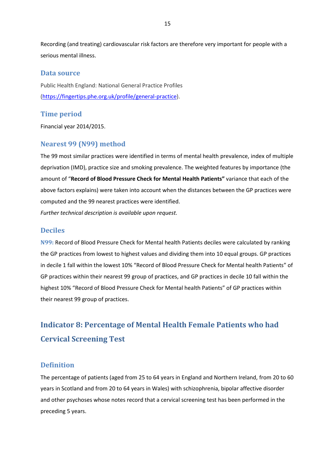Recording (and treating) cardiovascular risk factors are therefore very important for people with a serious mental illness.

### <span id="page-15-0"></span>**Data source**

Public Health England: National General Practice Profiles [\(https://fingertips.phe.org.uk/profile/general-practice\)](https://fingertips.phe.org.uk/profile/general-practice).

### <span id="page-15-1"></span>**Time period**

Financial year 2014/2015.

### <span id="page-15-2"></span>**Nearest 99 (N99) method**

The 99 most similar practices were identified in terms of mental health prevalence, index of multiple deprivation (IMD), practice size and smoking prevalence. The weighted features by importance (the amount of "**Record of Blood Pressure Check for Mental Health Patients"** variance that each of the above factors explains) were taken into account when the distances between the GP practices were computed and the 99 nearest practices were identified.

*Further technical description is available upon request.*

### <span id="page-15-3"></span>**Deciles**

<span id="page-15-4"></span>**N99:** Record of Blood Pressure Check for Mental health Patients deciles were calculated by ranking the GP practices from lowest to highest values and dividing them into 10 equal groups. GP practices in decile 1 fall within the lowest 10% "Record of Blood Pressure Check for Mental health Patients" of GP practices within their nearest 99 group of practices, and GP practices in decile 10 fall within the highest 10% "Record of Blood Pressure Check for Mental health Patients" of GP practices within their nearest 99 group of practices.

# <span id="page-15-5"></span>**Indicator 8: Percentage of Mental Health Female Patients who had Cervical Screening Test**

### <span id="page-15-6"></span>**Definition**

The percentage of patients (aged from 25 to 64 years in England and Northern Ireland, from 20 to 60 years in Scotland and from 20 to 64 years in Wales) with schizophrenia, bipolar affective disorder and other psychoses whose notes record that a cervical screening test has been performed in the preceding 5 years.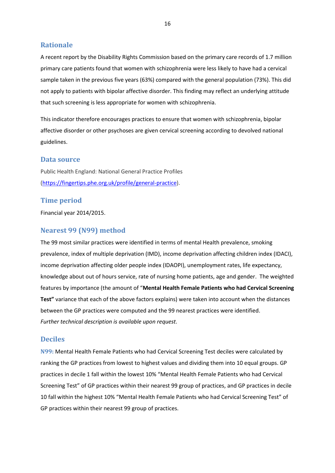### <span id="page-16-0"></span>**Rationale**

A recent report by the Disability Rights Commission based on the primary care records of 1.7 million primary care patients found that women with schizophrenia were less likely to have had a cervical sample taken in the previous five years (63%) compared with the general population (73%). This did not apply to patients with bipolar affective disorder. This finding may reflect an underlying attitude that such screening is less appropriate for women with schizophrenia.

This indicator therefore encourages practices to ensure that women with schizophrenia, bipolar affective disorder or other psychoses are given cervical screening according to devolved national guidelines.

### <span id="page-16-1"></span>**Data source**

Public Health England: National General Practice Profiles [\(https://fingertips.phe.org.uk/profile/general-practice\)](https://fingertips.phe.org.uk/profile/general-practice).

### <span id="page-16-2"></span>**Time period**

Financial year 2014/2015.

## <span id="page-16-3"></span>**Nearest 99 (N99) method**

The 99 most similar practices were identified in terms of mental Health prevalence, smoking prevalence, index of multiple deprivation (IMD), income deprivation affecting children index (IDACI), income deprivation affecting older people index (IDAOPI), unemployment rates, life expectancy, knowledge about out of hours service, rate of nursing home patients, age and gender. The weighted features by importance (the amount of "**Mental Health Female Patients who had Cervical Screening Test"** variance that each of the above factors explains) were taken into account when the distances between the GP practices were computed and the 99 nearest practices were identified. *Further technical description is available upon request.*

### <span id="page-16-4"></span>**Deciles**

<span id="page-16-5"></span>**N99:** Mental Health Female Patients who had Cervical Screening Test deciles were calculated by ranking the GP practices from lowest to highest values and dividing them into 10 equal groups. GP practices in decile 1 fall within the lowest 10% "Mental Health Female Patients who had Cervical Screening Test" of GP practices within their nearest 99 group of practices, and GP practices in decile 10 fall within the highest 10% "Mental Health Female Patients who had Cervical Screening Test" of GP practices within their nearest 99 group of practices.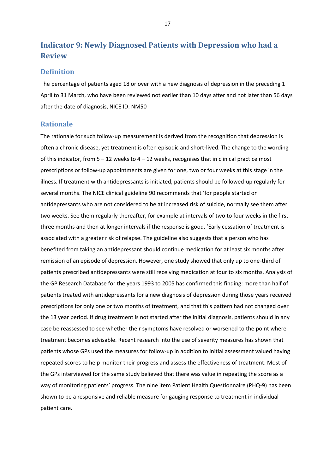# <span id="page-17-0"></span>**Indicator 9: Newly Diagnosed Patients with Depression who had a Review**

### <span id="page-17-1"></span>**Definition**

The percentage of patients aged 18 or over with a new diagnosis of depression in the preceding 1 April to 31 March, who have been reviewed not earlier than 10 days after and not later than 56 days after the date of diagnosis, NICE ID: NM50

### <span id="page-17-2"></span>**Rationale**

The rationale for such follow-up measurement is derived from the recognition that depression is often a chronic disease, yet treatment is often episodic and short-lived. The change to the wording of this indicator, from  $5 - 12$  weeks to  $4 - 12$  weeks, recognises that in clinical practice most prescriptions or follow-up appointments are given for one, two or four weeks at this stage in the illness. If treatment with antidepressants is initiated, patients should be followed-up regularly for several months. The NICE clinical guideline 90 recommends that 'for people started on antidepressants who are not considered to be at increased risk of suicide, normally see them after two weeks. See them regularly thereafter, for example at intervals of two to four weeks in the first three months and then at longer intervals if the response is good. 'Early cessation of treatment is associated with a greater risk of relapse. The guideline also suggests that a person who has benefited from taking an antidepressant should continue medication for at least six months after remission of an episode of depression. However, one study showed that only up to one-third of patients prescribed antidepressants were still receiving medication at four to six months. Analysis of the GP Research Database for the years 1993 to 2005 has confirmed this finding: more than half of patients treated with antidepressants for a new diagnosis of depression during those years received prescriptions for only one or two months of treatment, and that this pattern had not changed over the 13 year period. If drug treatment is not started after the initial diagnosis, patients should in any case be reassessed to see whether their symptoms have resolved or worsened to the point where treatment becomes advisable. Recent research into the use of severity measures has shown that patients whose GPs used the measures for follow-up in addition to initial assessment valued having repeated scores to help monitor their progress and assess the effectiveness of treatment. Most of the GPs interviewed for the same study believed that there was value in repeating the score as a way of monitoring patients' progress. The nine item Patient Health Questionnaire (PHQ-9) has been shown to be a responsive and reliable measure for gauging response to treatment in individual patient care.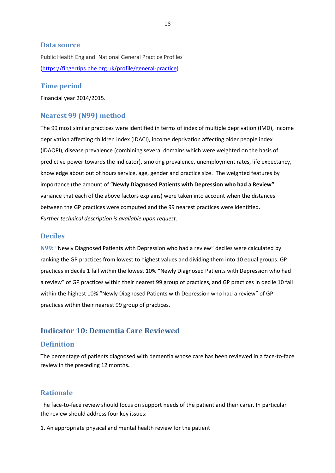### <span id="page-18-0"></span>**Data source**

Public Health England: National General Practice Profiles [\(https://fingertips.phe.org.uk/profile/general-practice\)](https://fingertips.phe.org.uk/profile/general-practice).

### <span id="page-18-1"></span>**Time period**

Financial year 2014/2015.

### <span id="page-18-2"></span>**Nearest 99 (N99) method**

The 99 most similar practices were identified in terms of index of multiple deprivation (IMD), income deprivation affecting children index (IDACI), income deprivation affecting older people index (IDAOPI), disease prevalence (combining several domains which were weighted on the basis of predictive power towards the indicator), smoking prevalence, unemployment rates, life expectancy, knowledge about out of hours service, age, gender and practice size. The weighted features by importance (the amount of "**Newly Diagnosed Patients with Depression who had a Review"** variance that each of the above factors explains) were taken into account when the distances between the GP practices were computed and the 99 nearest practices were identified. *Further technical description is available upon request.*

#### <span id="page-18-3"></span>**Deciles**

<span id="page-18-4"></span>**N99:** "Newly Diagnosed Patients with Depression who had a review" deciles were calculated by ranking the GP practices from lowest to highest values and dividing them into 10 equal groups. GP practices in decile 1 fall within the lowest 10% "Newly Diagnosed Patients with Depression who had a review" of GP practices within their nearest 99 group of practices, and GP practices in decile 10 fall within the highest 10% "Newly Diagnosed Patients with Depression who had a review" of GP practices within their nearest 99 group of practices.

# <span id="page-18-5"></span>**Indicator 10: Dementia Care Reviewed**

### <span id="page-18-6"></span>**Definition**

The percentage of patients diagnosed with dementia whose care has been reviewed in a face-to-face review in the preceding 12 months**.**

## <span id="page-18-7"></span>**Rationale**

The face-to-face review should focus on support needs of the patient and their carer. In particular the review should address four key issues:

1. An appropriate physical and mental health review for the patient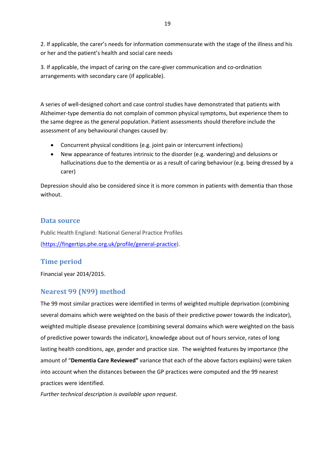2. If applicable, the carer's needs for information commensurate with the stage of the illness and his or her and the patient's health and social care needs

3. If applicable, the impact of caring on the care-giver communication and co-ordination arrangements with secondary care (if applicable).

A series of well-designed cohort and case control studies have demonstrated that patients with Alzheimer-type dementia do not complain of common physical symptoms, but experience them to the same degree as the general population. Patient assessments should therefore include the assessment of any behavioural changes caused by:

- Concurrent physical conditions (e.g. joint pain or intercurrent infections)
- New appearance of features intrinsic to the disorder (e.g. wandering) and delusions or hallucinations due to the dementia or as a result of caring behaviour (e.g. being dressed by a carer)

Depression should also be considered since it is more common in patients with dementia than those without.

# <span id="page-19-0"></span>**Data source**

Public Health England: National General Practice Profiles [\(https://fingertips.phe.org.uk/profile/general-practice\)](https://fingertips.phe.org.uk/profile/general-practice).

# <span id="page-19-1"></span>**Time period**

Financial year 2014/2015.

# <span id="page-19-2"></span>**Nearest 99 (N99) method**

The 99 most similar practices were identified in terms of weighted multiple deprivation (combining several domains which were weighted on the basis of their predictive power towards the indicator), weighted multiple disease prevalence (combining several domains which were weighted on the basis of predictive power towards the indicator), knowledge about out of hours service, rates of long lasting health conditions, age, gender and practice size. The weighted features by importance (the amount of "**Dementia Care Reviewed"** variance that each of the above factors explains) were taken into account when the distances between the GP practices were computed and the 99 nearest practices were identified.

*Further technical description is available upon request.*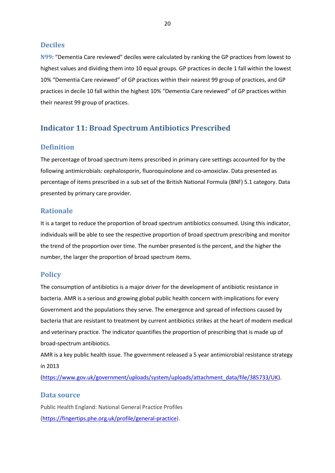### <span id="page-20-0"></span>**Deciles**

<span id="page-20-1"></span>**N99:** "Dementia Care reviewed" deciles were calculated by ranking the GP practices from lowest to highest values and dividing them into 10 equal groups. GP practices in decile 1 fall within the lowest 10% "Dementia Care reviewed" of GP practices within their nearest 99 group of practices, and GP practices in decile 10 fall within the highest 10% "Dementia Care reviewed" of GP practices within their nearest 99 group of practices.

# <span id="page-20-2"></span>**Indicator 11: Broad Spectrum Antibiotics Prescribed**

### <span id="page-20-3"></span>**Definition**

The percentage of broad spectrum items prescribed in primary care settings accounted for by the following antimicrobials: cephalosporin, fluoroquinolone and co-amoxiclav. Data presented as percentage of items prescribed in a sub set of the British National Formula (BNF) 5.1 category. Data presented by primary care provider.

### <span id="page-20-4"></span>**Rationale**

It is a target to reduce the proportion of broad spectrum antibiotics consumed. Using this indicator, individuals will be able to see the respective proportion of broad spectrum prescribing and monitor the trend of the proportion over time. The number presented is the percent, and the higher the number, the larger the proportion of broad spectrum items.

### <span id="page-20-5"></span>**Policy**

The consumption of antibiotics is a major driver for the development of antibiotic resistance in bacteria. AMR is a serious and growing global public health concern with implications for every Government and the populations they serve. The emergence and spread of infections caused by bacteria that are resistant to treatment by current antibiotics strikes at the heart of modern medical and veterinary practice. The indicator quantifies the proportion of prescribing that is made up of broad-spectrum antibiotics.

AMR is a key public health issue. The government released a 5 year antimicrobial resistance strategy in 2013

[\(https://www.gov.uk/government/uploads/system/uploads/attachment\\_data/file/385733/UK\)](https://www.gov.uk/government/uploads/system/uploads/attachment_data/file/385733/UK).

### <span id="page-20-6"></span>**Data source**

Public Health England: National General Practice Profiles [\(https://fingertips.phe.org.uk/profile/general-practice\)](https://fingertips.phe.org.uk/profile/general-practice).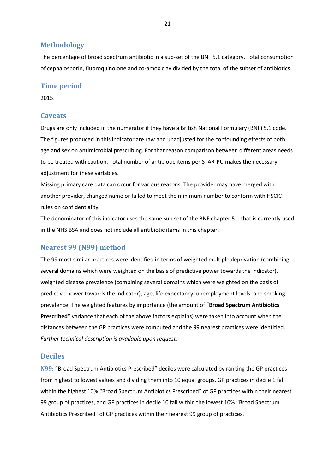### <span id="page-21-0"></span>**Methodology**

The percentage of broad spectrum antibiotic in a sub-set of the BNF 5.1 category. Total consumption of cephalosporin, fluoroquinolone and co-amoxiclav divided by the total of the subset of antibiotics.

### <span id="page-21-1"></span>**Time period**

2015.

### <span id="page-21-2"></span>**Caveats**

Drugs are only included in the numerator if they have a British National Formulary (BNF) 5.1 code. The figures produced in this indicator are raw and unadjusted for the confounding effects of both age and sex on antimicrobial prescribing. For that reason comparison between different areas needs to be treated with caution. Total number of antibiotic items per STAR-PU makes the necessary adjustment for these variables.

Missing primary care data can occur for various reasons. The provider may have merged with another provider, changed name or failed to meet the minimum number to conform with HSCIC rules on confidentiality.

The denominator of this indicator uses the same sub set of the BNF chapter 5.1 that is currently used in the NHS BSA and does not include all antibiotic items in this chapter.

### <span id="page-21-3"></span>**Nearest 99 (N99) method**

The 99 most similar practices were identified in terms of weighted multiple deprivation (combining several domains which were weighted on the basis of predictive power towards the indicator), weighted disease prevalence (combining several domains which were weighted on the basis of predictive power towards the indicator), age, life expectancy, unemployment levels, and smoking prevalence. The weighted features by importance (the amount of "**Broad Spectrum Antibiotics Prescribed"** variance that each of the above factors explains) were taken into account when the distances between the GP practices were computed and the 99 nearest practices were identified. *Further technical description is available upon request.*

## <span id="page-21-4"></span>**Deciles**

<span id="page-21-5"></span>**N99:** "Broad Spectrum Antibiotics Prescribed" deciles were calculated by ranking the GP practices from highest to lowest values and dividing them into 10 equal groups. GP practices in decile 1 fall within the highest 10% "Broad Spectrum Antibiotics Prescribed" of GP practices within their nearest 99 group of practices, and GP practices in decile 10 fall within the lowest 10% "Broad Spectrum Antibiotics Prescribed" of GP practices within their nearest 99 group of practices.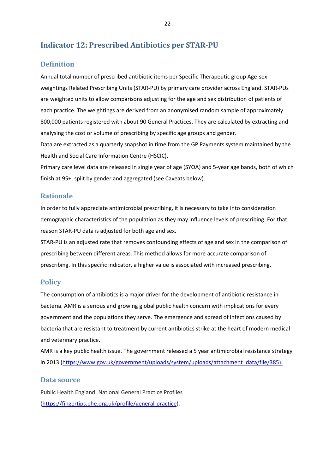# <span id="page-22-0"></span>**Indicator 12: Prescribed Antibiotics per STAR-PU**

# <span id="page-22-1"></span>**Definition**

Annual total number of prescribed antibiotic items per Specific Therapeutic group Age-sex weightings Related Prescribing Units (STAR-PU) by primary care provider across England. STAR-PUs are weighted units to allow comparisons adjusting for the age and sex distribution of patients of each practice. The weightings are derived from an anonymised random sample of approximately 800,000 patients registered with about 90 General Practices. They are calculated by extracting and analysing the cost or volume of prescribing by specific age groups and gender.

Data are extracted as a quarterly snapshot in time from the GP Payments system maintained by the Health and Social Care Information Centre (HSCIC).

Primary care level data are released in single year of age (SYOA) and 5-year age bands, both of which finish at 95+, split by gender and aggregated (see Caveats below).

### <span id="page-22-2"></span>**Rationale**

In order to fully appreciate antimicrobial prescribing, it is necessary to take into consideration demographic characteristics of the population as they may influence levels of prescribing. For that reason STAR-PU data is adjusted for both age and sex.

STAR-PU is an adjusted rate that removes confounding effects of age and sex in the comparison of prescribing between different areas. This method allows for more accurate comparison of prescribing. In this specific indicator, a higher value is associated with increased prescribing.

### <span id="page-22-3"></span>**Policy**

The consumption of antibiotics is a major driver for the development of antibiotic resistance in bacteria. AMR is a serious and growing global public health concern with implications for every government and the populations they serve. The emergence and spread of infections caused by bacteria that are resistant to treatment by current antibiotics strike at the heart of modern medical and veterinary practice.

AMR is a key public health issue. The government released a 5 year antimicrobial resistance strategy in 2013 [\(https://www.gov.uk/government/uploads/system/uploads/attachment\\_data/file/385\)](https://www.gov.uk/government/uploads/system/uploads/attachment_data/file/385).

### <span id="page-22-4"></span>**Data source**

Public Health England: National General Practice Profiles [\(https://fingertips.phe.org.uk/profile/general-practice\)](https://fingertips.phe.org.uk/profile/general-practice).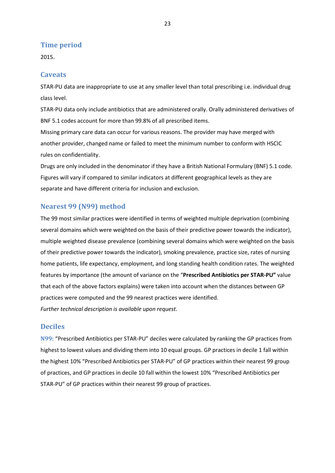## <span id="page-23-0"></span>**Time period**

2015.

### <span id="page-23-1"></span>**Caveats**

STAR-PU data are inappropriate to use at any smaller level than total prescribing i.e. individual drug class level.

STAR-PU data only include antibiotics that are administered orally. Orally administered derivatives of BNF 5.1 codes account for more than 99.8% of all prescribed items.

Missing primary care data can occur for various reasons. The provider may have merged with another provider, changed name or failed to meet the minimum number to conform with HSCIC rules on confidentiality.

Drugs are only included in the denominator if they have a British National Formulary (BNF) 5.1 code. Figures will vary if compared to similar indicators at different geographical levels as they are separate and have different criteria for inclusion and exclusion.

### <span id="page-23-2"></span>**Nearest 99 (N99) method**

The 99 most similar practices were identified in terms of weighted multiple deprivation (combining several domains which were weighted on the basis of their predictive power towards the indicator), multiple weighted disease prevalence (combining several domains which were weighted on the basis of their predictive power towards the indicator), smoking prevalence, practice size, rates of nursing home patients, life expectancy, employment, and long standing health condition rates. The weighted features by importance (the amount of variance on the "**Prescribed Antibiotics per STAR-PU"** value that each of the above factors explains) were taken into account when the distances between GP practices were computed and the 99 nearest practices were identified. *Further technical description is available upon request.*

### <span id="page-23-3"></span>**Deciles**

<span id="page-23-4"></span>**N99:** "Prescribed Antibiotics per STAR-PU" deciles were calculated by ranking the GP practices from highest to lowest values and dividing them into 10 equal groups. GP practices in decile 1 fall within the highest 10% "Prescribed Antibiotics per STAR-PU" of GP practices within their nearest 99 group of practices, and GP practices in decile 10 fall within the lowest 10% "Prescribed Antibiotics per STAR-PU" of GP practices within their nearest 99 group of practices.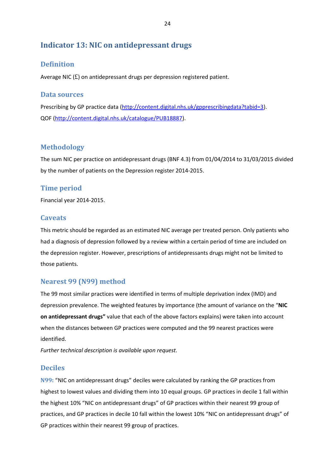# <span id="page-24-0"></span>**Indicator 13: NIC on antidepressant drugs**

# <span id="page-24-1"></span>**Definition**

Average NIC (£) on antidepressant drugs per depression registered patient.

### <span id="page-24-2"></span>**Data sources**

Prescribing by GP practice data [\(http://content.digital.nhs.uk/gpprescribingdata?tabid=3\)](http://content.digital.nhs.uk/gpprescribingdata?tabid=3). QOF [\(http://content.digital.nhs.uk/catalogue/PUB18887\)](http://content.digital.nhs.uk/catalogue/PUB18887).

# <span id="page-24-3"></span>**Methodology**

The sum NIC per practice on antidepressant drugs (BNF 4.3) from 01/04/2014 to 31/03/2015 divided by the number of patients on the Depression register 2014-2015.

## <span id="page-24-4"></span>**Time period**

Financial year 2014-2015.

# <span id="page-24-5"></span>**Caveats**

This metric should be regarded as an estimated NIC average per treated person. Only patients who had a diagnosis of depression followed by a review within a certain period of time are included on the depression register. However, prescriptions of antidepressants drugs might not be limited to those patients.

# <span id="page-24-6"></span>**Nearest 99 (N99) method**

The 99 most similar practices were identified in terms of multiple deprivation index (IMD) and depression prevalence. The weighted features by importance (the amount of variance on the "**NIC on antidepressant drugs"** value that each of the above factors explains) were taken into account when the distances between GP practices were computed and the 99 nearest practices were identified.

*Further technical description is available upon request.*

# <span id="page-24-7"></span>**Deciles**

<span id="page-24-8"></span>**N99:** "NIC on antidepressant drugs" deciles were calculated by ranking the GP practices from highest to lowest values and dividing them into 10 equal groups. GP practices in decile 1 fall within the highest 10% "NIC on antidepressant drugs" of GP practices within their nearest 99 group of practices, and GP practices in decile 10 fall within the lowest 10% "NIC on antidepressant drugs" of GP practices within their nearest 99 group of practices.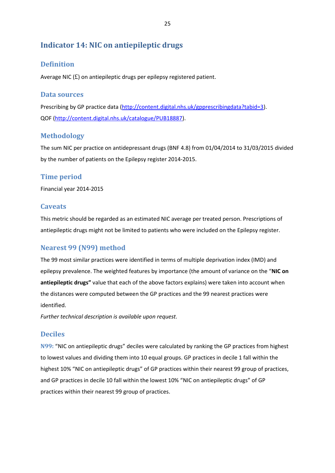# <span id="page-25-0"></span>**Indicator 14: NIC on antiepileptic drugs**

# <span id="page-25-1"></span>**Definition**

Average NIC  $(f)$  on antiepileptic drugs per epilepsy registered patient.

### <span id="page-25-2"></span>**Data sources**

Prescribing by GP practice data [\(http://content.digital.nhs.uk/gpprescribingdata?tabid=3\)](http://content.digital.nhs.uk/gpprescribingdata?tabid=3). QOF [\(http://content.digital.nhs.uk/catalogue/PUB18887\)](http://content.digital.nhs.uk/catalogue/PUB18887).

# <span id="page-25-3"></span>**Methodology**

The sum NIC per practice on antidepressant drugs (BNF 4.8) from 01/04/2014 to 31/03/2015 divided by the number of patients on the Epilepsy register 2014-2015.

# <span id="page-25-4"></span>**Time period**

Financial year 2014-2015

# <span id="page-25-5"></span>**Caveats**

This metric should be regarded as an estimated NIC average per treated person. Prescriptions of antiepileptic drugs might not be limited to patients who were included on the Epilepsy register.

# <span id="page-25-6"></span>**Nearest 99 (N99) method**

The 99 most similar practices were identified in terms of multiple deprivation index (IMD) and epilepsy prevalence. The weighted features by importance (the amount of variance on the "**NIC on antiepileptic drugs"** value that each of the above factors explains) were taken into account when the distances were computed between the GP practices and the 99 nearest practices were identified.

*Further technical description is available upon request.*

# <span id="page-25-7"></span>**Deciles**

<span id="page-25-8"></span>**N99:** "NIC on antiepileptic drugs" deciles were calculated by ranking the GP practices from highest to lowest values and dividing them into 10 equal groups. GP practices in decile 1 fall within the highest 10% "NIC on antiepileptic drugs" of GP practices within their nearest 99 group of practices, and GP practices in decile 10 fall within the lowest 10% "NIC on antiepileptic drugs" of GP practices within their nearest 99 group of practices.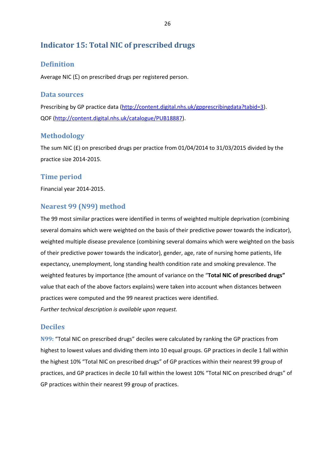# <span id="page-26-0"></span>**Indicator 15: Total NIC of prescribed drugs**

# <span id="page-26-1"></span>**Definition**

Average NIC (£) on prescribed drugs per registered person.

### <span id="page-26-2"></span>**Data sources**

Prescribing by GP practice data [\(http://content.digital.nhs.uk/gpprescribingdata?tabid=3\)](http://content.digital.nhs.uk/gpprescribingdata?tabid=3). QOF [\(http://content.digital.nhs.uk/catalogue/PUB18887\)](http://content.digital.nhs.uk/catalogue/PUB18887).

# <span id="page-26-3"></span>**Methodology**

The sum NIC (£) on prescribed drugs per practice from 01/04/2014 to 31/03/2015 divided by the practice size 2014-2015.

## <span id="page-26-4"></span>**Time period**

Financial year 2014-2015.

# <span id="page-26-5"></span>**Nearest 99 (N99) method**

The 99 most similar practices were identified in terms of weighted multiple deprivation (combining several domains which were weighted on the basis of their predictive power towards the indicator), weighted multiple disease prevalence (combining several domains which were weighted on the basis of their predictive power towards the indicator), gender, age, rate of nursing home patients, life expectancy, unemployment, long standing health condition rate and smoking prevalence. The weighted features by importance (the amount of variance on the "**Total NIC of prescribed drugs"** value that each of the above factors explains) were taken into account when distances between practices were computed and the 99 nearest practices were identified. *Further technical description is available upon request.*

# <span id="page-26-6"></span>**Deciles**

<span id="page-26-7"></span>**N99:** "Total NIC on prescribed drugs" deciles were calculated by ranking the GP practices from highest to lowest values and dividing them into 10 equal groups. GP practices in decile 1 fall within the highest 10% "Total NIC on prescribed drugs" of GP practices within their nearest 99 group of practices, and GP practices in decile 10 fall within the lowest 10% "Total NIC on prescribed drugs" of GP practices within their nearest 99 group of practices.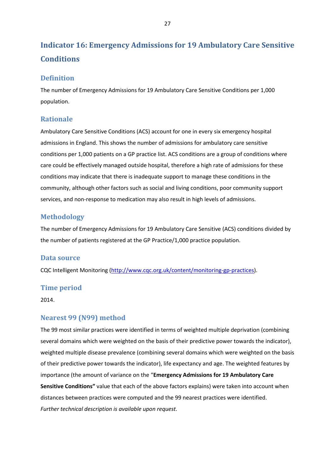# <span id="page-27-0"></span>**Indicator 16: Emergency Admissions for 19 Ambulatory Care Sensitive Conditions**

## <span id="page-27-1"></span>**Definition**

The number of Emergency Admissions for 19 Ambulatory Care Sensitive Conditions per 1,000 population.

## <span id="page-27-2"></span>**Rationale**

Ambulatory Care Sensitive Conditions (ACS) account for one in every six emergency hospital admissions in England. This shows the number of admissions for ambulatory care sensitive conditions per 1,000 patients on a GP practice list. ACS conditions are a group of conditions where care could be effectively managed outside hospital, therefore a high rate of admissions for these conditions may indicate that there is inadequate support to manage these conditions in the community, although other factors such as social and living conditions, poor community support services, and non-response to medication may also result in high levels of admissions.

# <span id="page-27-3"></span>**Methodology**

The number of Emergency Admissions for 19 Ambulatory Care Sensitive (ACS) conditions divided by the number of patients registered at the GP Practice/1,000 practice population.

### <span id="page-27-4"></span>**Data source**

CQC Intelligent Monitoring [\(http://www.cqc.org.uk/content/monitoring-gp-practices\)](http://www.cqc.org.uk/content/monitoring-gp-practices).

# <span id="page-27-5"></span>**Time period**

2014.

# <span id="page-27-6"></span>**Nearest 99 (N99) method**

The 99 most similar practices were identified in terms of weighted multiple deprivation (combining several domains which were weighted on the basis of their predictive power towards the indicator), weighted multiple disease prevalence (combining several domains which were weighted on the basis of their predictive power towards the indicator), life expectancy and age. The weighted features by importance (the amount of variance on the "**Emergency Admissions for 19 Ambulatory Care Sensitive Conditions"** value that each of the above factors explains) were taken into account when distances between practices were computed and the 99 nearest practices were identified. *Further technical description is available upon request.*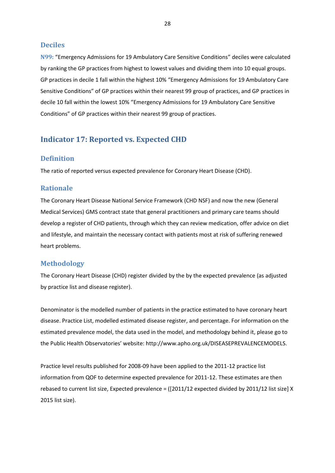### <span id="page-28-0"></span>**Deciles**

<span id="page-28-1"></span>**N99:** "Emergency Admissions for 19 Ambulatory Care Sensitive Conditions" deciles were calculated by ranking the GP practices from highest to lowest values and dividing them into 10 equal groups. GP practices in decile 1 fall within the highest 10% "Emergency Admissions for 19 Ambulatory Care Sensitive Conditions" of GP practices within their nearest 99 group of practices, and GP practices in decile 10 fall within the lowest 10% "Emergency Admissions for 19 Ambulatory Care Sensitive Conditions" of GP practices within their nearest 99 group of practices.

# <span id="page-28-2"></span>**Indicator 17: Reported vs. Expected CHD**

## <span id="page-28-3"></span>**Definition**

The ratio of reported versus expected prevalence for Coronary Heart Disease (CHD).

### <span id="page-28-4"></span>**Rationale**

The Coronary Heart Disease National Service Framework (CHD NSF) and now the new (General Medical Services) GMS contract state that general practitioners and primary care teams should develop a register of CHD patients, through which they can review medication, offer advice on diet and lifestyle, and maintain the necessary contact with patients most at risk of suffering renewed heart problems.

### <span id="page-28-5"></span>**Methodology**

The Coronary Heart Disease (CHD) register divided by the by the expected prevalence (as adjusted by practice list and disease register).

Denominator is the modelled number of patients in the practice estimated to have coronary heart disease. Practice List, modelled estimated disease register, and percentage. For information on the estimated prevalence model, the data used in the model, and methodology behind it, please go to the Public Health Observatories' website: http://www.apho.org.uk/DISEASEPREVALENCEMODELS.

Practice level results published for 2008-09 have been applied to the 2011-12 practice list information from QOF to determine expected prevalence for 2011-12. These estimates are then rebased to current list size, Expected prevalence = ([2011/12 expected divided by 2011/12 list size] X 2015 list size).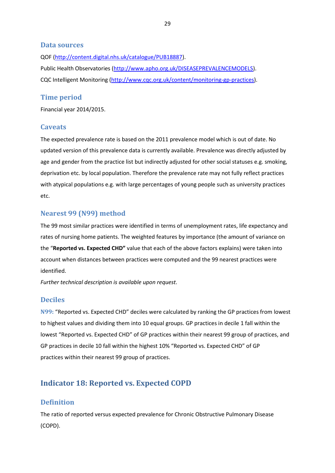### <span id="page-29-0"></span>**Data sources**

QOF [\(http://content.digital.nhs.uk/catalogue/PUB18887\)](http://content.digital.nhs.uk/catalogue/PUB18887). Public Health Observatories [\(http://www.apho.org.uk/DISEASEPREVALENCEMODELS\)](http://www.apho.org.uk/DISEASEPREVALENCEMODELS). CQC Intelligent Monitoring [\(http://www.cqc.org.uk/content/monitoring-gp-practices\)](http://www.cqc.org.uk/content/monitoring-gp-practices).

### <span id="page-29-1"></span>**Time period**

Financial year 2014/2015.

### <span id="page-29-2"></span>**Caveats**

The expected prevalence rate is based on the 2011 prevalence model which is out of date. No updated version of this prevalence data is currently available. Prevalence was directly adjusted by age and gender from the practice list but indirectly adjusted for other social statuses e.g. smoking, deprivation etc. by local population. Therefore the prevalence rate may not fully reflect practices with atypical populations e.g. with large percentages of young people such as university practices etc.

### <span id="page-29-3"></span>**Nearest 99 (N99) method**

The 99 most similar practices were identified in terms of unemployment rates, life expectancy and rates of nursing home patients. The weighted features by importance (the amount of variance on the "**Reported vs. Expected CHD"** value that each of the above factors explains) were taken into account when distances between practices were computed and the 99 nearest practices were identified.

*Further technical description is available upon request.*

### <span id="page-29-4"></span>**Deciles**

<span id="page-29-5"></span>**N99:** "Reported vs. Expected CHD" deciles were calculated by ranking the GP practices from lowest to highest values and dividing them into 10 equal groups. GP practices in decile 1 fall within the lowest "Reported vs. Expected CHD" of GP practices within their nearest 99 group of practices, and GP practices in decile 10 fall within the highest 10% "Reported vs. Expected CHD" of GP practices within their nearest 99 group of practices.

# <span id="page-29-6"></span>**Indicator 18: Reported vs. Expected COPD**

### <span id="page-29-7"></span>**Definition**

The ratio of reported versus expected prevalence for Chronic Obstructive Pulmonary Disease (COPD).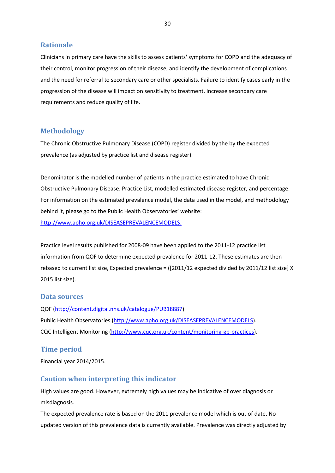### <span id="page-30-0"></span>**Rationale**

Clinicians in primary care have the skills to assess patients' symptoms for COPD and the adequacy of their control, monitor progression of their disease, and identify the development of complications and the need for referral to secondary care or other specialists. Failure to identify cases early in the progression of the disease will impact on sensitivity to treatment, increase secondary care requirements and reduce quality of life.

## <span id="page-30-1"></span>**Methodology**

The Chronic Obstructive Pulmonary Disease (COPD) register divided by the by the expected prevalence (as adjusted by practice list and disease register).

Denominator is the modelled number of patients in the practice estimated to have Chronic Obstructive Pulmonary Disease. Practice List, modelled estimated disease register, and percentage. For information on the estimated prevalence model, the data used in the model, and methodology behind it, please go to the Public Health Observatories' website: [http://www.apho.org.uk/DISEASEPREVALENCEMODELS.](http://www.apho.org.uk/DISEASEPREVALENCEMODELS)

Practice level results published for 2008-09 have been applied to the 2011-12 practice list information from QOF to determine expected prevalence for 2011-12. These estimates are then rebased to current list size, Expected prevalence = ([2011/12 expected divided by 2011/12 list size] X 2015 list size).

### <span id="page-30-2"></span>**Data sources**

QOF [\(http://content.digital.nhs.uk/catalogue/PUB18887\)](http://content.digital.nhs.uk/catalogue/PUB18887). Public Health Observatories [\(http://www.apho.org.uk/DISEASEPREVALENCEMODELS\)](http://www.apho.org.uk/DISEASEPREVALENCEMODELS). CQC Intelligent Monitoring [\(http://www.cqc.org.uk/content/monitoring-gp-practices\)](http://www.cqc.org.uk/content/monitoring-gp-practices).

# <span id="page-30-3"></span>**Time period**

Financial year 2014/2015.

# <span id="page-30-4"></span>**Caution when interpreting this indicator**

High values are good. However, extremely high values may be indicative of over diagnosis or misdiagnosis.

The expected prevalence rate is based on the 2011 prevalence model which is out of date. No updated version of this prevalence data is currently available. Prevalence was directly adjusted by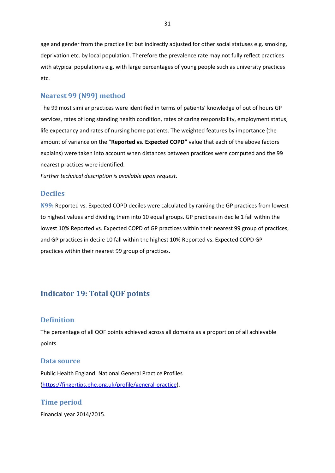age and gender from the practice list but indirectly adjusted for other social statuses e.g. smoking, deprivation etc. by local population. Therefore the prevalence rate may not fully reflect practices with atypical populations e.g. with large percentages of young people such as university practices etc.

### <span id="page-31-0"></span>**Nearest 99 (N99) method**

The 99 most similar practices were identified in terms of patients' knowledge of out of hours GP services, rates of long standing health condition, rates of caring responsibility, employment status, life expectancy and rates of nursing home patients. The weighted features by importance (the amount of variance on the "**Reported vs. Expected COPD"** value that each of the above factors explains) were taken into account when distances between practices were computed and the 99 nearest practices were identified.

*Further technical description is available upon request.*

### <span id="page-31-1"></span>**Deciles**

<span id="page-31-2"></span>**N99:** Reported vs. Expected COPD deciles were calculated by ranking the GP practices from lowest to highest values and dividing them into 10 equal groups. GP practices in decile 1 fall within the lowest 10% Reported vs. Expected COPD of GP practices within their nearest 99 group of practices, and GP practices in decile 10 fall within the highest 10% Reported vs. Expected COPD GP practices within their nearest 99 group of practices.

# <span id="page-31-3"></span>**Indicator 19: Total QOF points**

### <span id="page-31-4"></span>**Definition**

The percentage of all QOF points achieved across all domains as a proportion of all achievable points.

#### <span id="page-31-5"></span>**Data source**

Public Health England: National General Practice Profiles [\(https://fingertips.phe.org.uk/profile/general-practice\)](https://fingertips.phe.org.uk/profile/general-practice).

### <span id="page-31-6"></span>**Time period**

Financial year 2014/2015.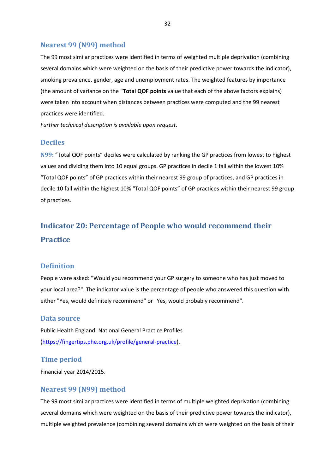### <span id="page-32-0"></span>**Nearest 99 (N99) method**

The 99 most similar practices were identified in terms of weighted multiple deprivation (combining several domains which were weighted on the basis of their predictive power towards the indicator), smoking prevalence, gender, age and unemployment rates. The weighted features by importance (the amount of variance on the "**Total QOF points** value that each of the above factors explains) were taken into account when distances between practices were computed and the 99 nearest practices were identified.

*Further technical description is available upon request.*

### <span id="page-32-1"></span>**Deciles**

<span id="page-32-2"></span>**N99:** "Total QOF points" deciles were calculated by ranking the GP practices from lowest to highest values and dividing them into 10 equal groups. GP practices in decile 1 fall within the lowest 10% "Total QOF points" of GP practices within their nearest 99 group of practices, and GP practices in decile 10 fall within the highest 10% "Total QOF points" of GP practices within their nearest 99 group of practices.

# <span id="page-32-3"></span>**Indicator 20: Percentage of People who would recommend their Practice**

### <span id="page-32-4"></span>**Definition**

People were asked: "Would you recommend your GP surgery to someone who has just moved to your local area?". The indicator value is the percentage of people who answered this question with either "Yes, would definitely recommend" or "Yes, would probably recommend".

### <span id="page-32-5"></span>**Data source**

Public Health England: National General Practice Profiles [\(https://fingertips.phe.org.uk/profile/general-practice\)](https://fingertips.phe.org.uk/profile/general-practice).

### <span id="page-32-6"></span>**Time period**

Financial year 2014/2015.

### <span id="page-32-7"></span>**Nearest 99 (N99) method**

The 99 most similar practices were identified in terms of multiple weighted deprivation (combining several domains which were weighted on the basis of their predictive power towards the indicator), multiple weighted prevalence (combining several domains which were weighted on the basis of their